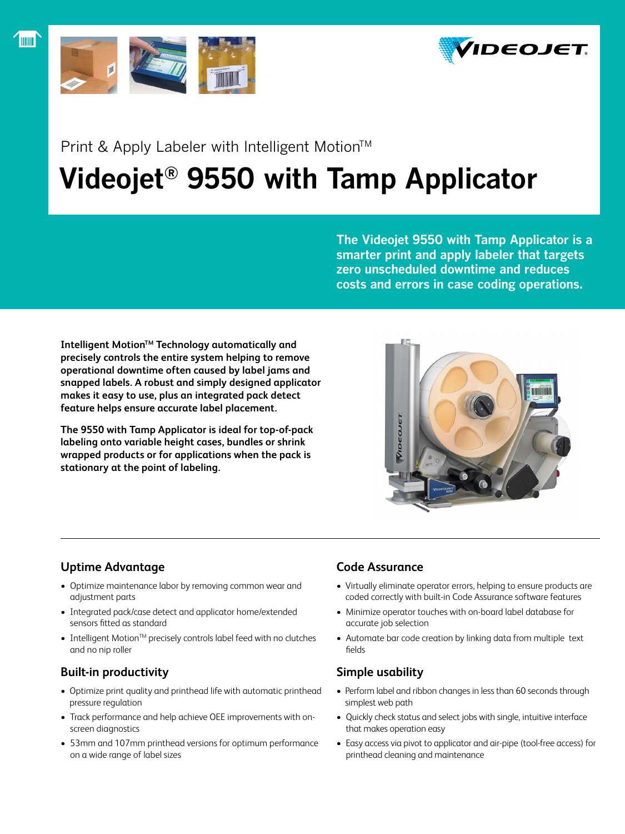



## Print & Apply Labeler with Intelligent Motion™

# **Videojet® 9550 with Tamp Applicator**

**The Videojet 9550 with Tamp Applicator is a smarter print and apply labeler that targets zero unscheduled downtime and reduces costs and errors in case coding operations.**

**Intelligent Motion™ Technology automatically and precisely controls the entire system helping to remove operational downtime often caused by label jams and snapped labels. A robust and simply designed applicator makes it easy to use, plus an integrated pack detect feature helps ensure accurate label placement.**

**The 9550 with Tamp Applicator is ideal for top-of-pack labeling onto variable height cases, bundles or shrink wrapped products or for applications when the pack is stationary at the point of labeling.**



## **Uptime Advantage**

- • Optimize maintenance labor by removing common wear and adjustment parts
- Integrated pack/case detect and applicator home/extended sensors fitted as standard
- Intelligent Motion<sup>™</sup> precisely controls label feed with no clutches and no nip roller

## **Built-in productivity**

- Optimize print quality and printhead life with automatic printhead pressure regulation
- Track performance and help achieve OEE improvements with onscreen diagnostics
- • 53mm and 107mm printhead versions for optimum performance on a wide range of label sizes

### **Code Assurance**

- Virtually eliminate operator errors, helping to ensure products are coded correctly with built-in Code Assurance software features
- Minimize operator touches with on-board label database for accurate job selection
- Automate bar code creation by linking data from multiple text fields

## **Simple usability**

- Perform label and ribbon changes in less than 60 seconds through simplest web path
- • Quickly check status and select jobs with single, intuitive interface that makes operation easy
- Easy access via pivot to applicator and air-pipe (tool-free access) for printhead cleaning and maintenance